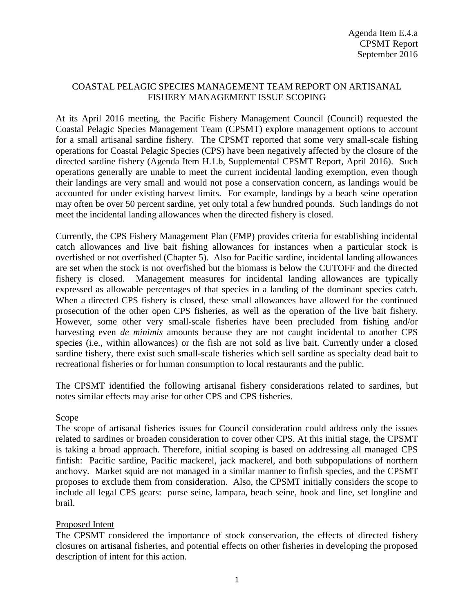# COASTAL PELAGIC SPECIES MANAGEMENT TEAM REPORT ON ARTISANAL FISHERY MANAGEMENT ISSUE SCOPING

At its April 2016 meeting, the Pacific Fishery Management Council (Council) requested the Coastal Pelagic Species Management Team (CPSMT) explore management options to account for a small artisanal sardine fishery. The CPSMT reported that some very small-scale fishing operations for Coastal Pelagic Species (CPS) have been negatively affected by the closure of the directed sardine fishery (Agenda Item H.1.b, Supplemental CPSMT Report, April 2016). Such operations generally are unable to meet the current incidental landing exemption, even though their landings are very small and would not pose a conservation concern, as landings would be accounted for under existing harvest limits. For example, landings by a beach seine operation may often be over 50 percent sardine, yet only total a few hundred pounds. Such landings do not meet the incidental landing allowances when the directed fishery is closed.

Currently, the CPS Fishery Management Plan (FMP) provides criteria for establishing incidental catch allowances and live bait fishing allowances for instances when a particular stock is overfished or not overfished (Chapter 5). Also for Pacific sardine, incidental landing allowances are set when the stock is not overfished but the biomass is below the CUTOFF and the directed fishery is closed. Management measures for incidental landing allowances are typically expressed as allowable percentages of that species in a landing of the dominant species catch. When a directed CPS fishery is closed, these small allowances have allowed for the continued prosecution of the other open CPS fisheries, as well as the operation of the live bait fishery. However, some other very small-scale fisheries have been precluded from fishing and/or harvesting even *de minimis* amounts because they are not caught incidental to another CPS species (i.e., within allowances) or the fish are not sold as live bait. Currently under a closed sardine fishery, there exist such small-scale fisheries which sell sardine as specialty dead bait to recreational fisheries or for human consumption to local restaurants and the public.

The CPSMT identified the following artisanal fishery considerations related to sardines, but notes similar effects may arise for other CPS and CPS fisheries.

### Scope

The scope of artisanal fisheries issues for Council consideration could address only the issues related to sardines or broaden consideration to cover other CPS. At this initial stage, the CPSMT is taking a broad approach. Therefore, initial scoping is based on addressing all managed CPS finfish: Pacific sardine, Pacific mackerel, jack mackerel, and both subpopulations of northern anchovy. Market squid are not managed in a similar manner to finfish species, and the CPSMT proposes to exclude them from consideration. Also, the CPSMT initially considers the scope to include all legal CPS gears: purse seine, lampara, beach seine, hook and line, set longline and brail.

### Proposed Intent

The CPSMT considered the importance of stock conservation, the effects of directed fishery closures on artisanal fisheries, and potential effects on other fisheries in developing the proposed description of intent for this action.